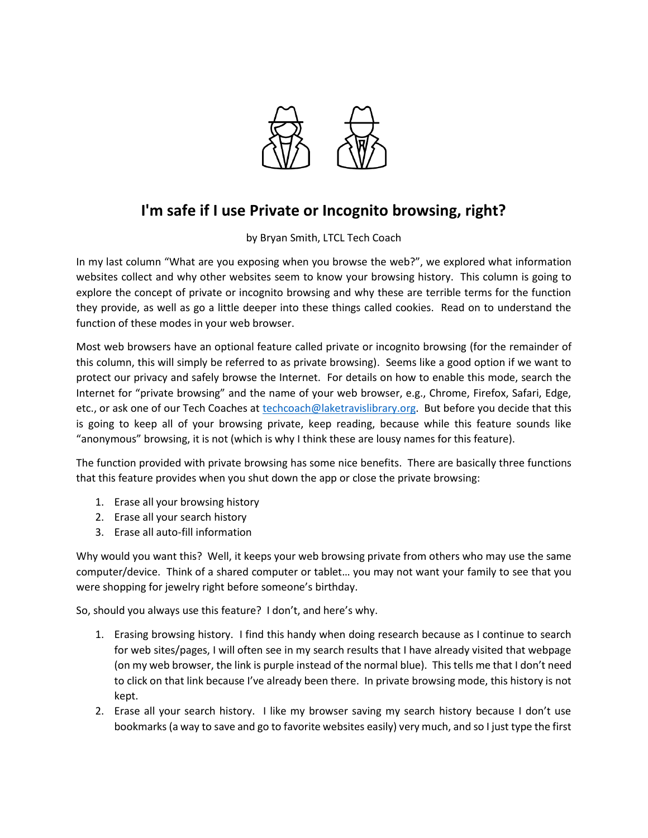

## **I'm safe if I use Private or Incognito browsing, right?**

by Bryan Smith, LTCL Tech Coach

In my last column "What are you exposing when you browse the web?", we explored what information websites collect and why other websites seem to know your browsing history. This column is going to explore the concept of private or incognito browsing and why these are terrible terms for the function they provide, as well as go a little deeper into these things called cookies. Read on to understand the function of these modes in your web browser.

Most web browsers have an optional feature called private or incognito browsing (for the remainder of this column, this will simply be referred to as private browsing). Seems like a good option if we want to protect our privacy and safely browse the Internet. For details on how to enable this mode, search the Internet for "private browsing" and the name of your web browser, e.g., Chrome, Firefox, Safari, Edge, etc., or ask one of our Tech Coaches at [techcoach@laketravislibrary.org.](mailto:techcoach@laketravislibrary.org) But before you decide that this is going to keep all of your browsing private, keep reading, because while this feature sounds like "anonymous" browsing, it is not (which is why I think these are lousy names for this feature).

The function provided with private browsing has some nice benefits. There are basically three functions that this feature provides when you shut down the app or close the private browsing:

- 1. Erase all your browsing history
- 2. Erase all your search history
- 3. Erase all auto-fill information

Why would you want this? Well, it keeps your web browsing private from others who may use the same computer/device. Think of a shared computer or tablet… you may not want your family to see that you were shopping for jewelry right before someone's birthday.

So, should you always use this feature? I don't, and here's why.

- 1. Erasing browsing history. I find this handy when doing research because as I continue to search for web sites/pages, I will often see in my search results that I have already visited that webpage (on my web browser, the link is purple instead of the normal blue). This tells me that I don't need to click on that link because I've already been there. In private browsing mode, this history is not kept.
- 2. Erase all your search history. I like my browser saving my search history because I don't use bookmarks (a way to save and go to favorite websites easily) very much, and so I just type the first